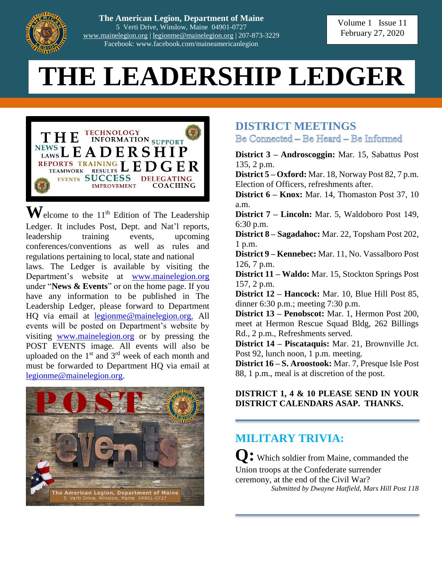

**The American Legion, Department of Maine** 5 Verti Drive, Winslow, Maine 04901-0727 [www.mainelegion.org](http://www.mainelegion.org/) | [legionme@mainelegion.org](mailto:legionme@mainelegion.org) | 207-873-3229 Facebook: www.facebook.com/maineamericanlegion

# **THE LEADERSHIP LEDGER**



 $\mathbf{W}$ elcome to the 11<sup>th</sup> Edition of The Leadership Ledger. It includes Post, Dept. and Nat'l reports, leadership training events, upcoming conferences/conventions as well as rules and regulations pertaining to local, state and national laws. The Ledger is available by visiting the Department's website at [www.mainelegion.org](http://www.mainelegion.org/) under "**News & Events**" or on the home page. If you have any information to be published in The Leadership Ledger, please forward to Department HQ via email at [legionme@mainelegion.org.](mailto:legionme@mainelegion.org) All events will be posted on Department's website by visiting [www.mainelegion.org](http://www.mainelegion.org/) or by pressing the POST EVENTS image. All events will also be uploaded on the  $1<sup>st</sup>$  and  $3<sup>rd</sup>$  week of each month and must be forwarded to Department HQ via email at [legionme@mainelegion.org.](mailto:legionme@mainelegion.org)



#### **DISTRICT MEETINGS**

Be Connected – Be Heard – Be Informed

**District 3 – Androscoggin:** Mar. 15, Sabattus Post 135, 2 p.m.

**District 5 – Oxford:** Mar. 18, Norway Post 82, 7 p.m. Election of Officers, refreshments after.

**District 6 – Knox:** Mar. 14, Thomaston Post 37, 10 a.m.

**District 7 – Lincoln:** Mar. 5, Waldoboro Post 149, 6:30 p.m.

**District 8 – Sagadahoc:** Mar. 22, Topsham Post 202, 1 p.m.

**District 9 – Kennebec:** Mar. 11, No. Vassalboro Post 126, 7 p.m.

**District 11 – Waldo:** Mar. 15, Stockton Springs Post 157, 2 p.m.

**District 12 – Hancock:** Mar. 10, Blue Hill Post 85, dinner 6:30 p.m.; meeting 7:30 p.m.

**District 13 – Penobscot:** Mar. 1, Hermon Post 200, meet at Hermon Rescue Squad Bldg, 262 Billings Rd., 2 p.m., Refreshments served.

**District 14 – Piscataquis:** Mar. 21, Brownville Jct. Post 92, lunch noon, 1 p.m. meeting.

**District 16 – S. Aroostook:** Mar. 7, Presque Isle Post 88, 1 p.m., meal is at discretion of the post.

#### **DISTRICT 1, 4 & 10 PLEASE SEND IN YOUR DISTRICT CALENDARS ASAP. THANKS.**

### **MILITARY TRIVIA:**

**Q:** Which soldier from Maine, commanded the Union troops at the Confederate surrender ceremony, at the end of the Civil War? *Submitted by Dwayne Hatfield, Mars Hill Post 118*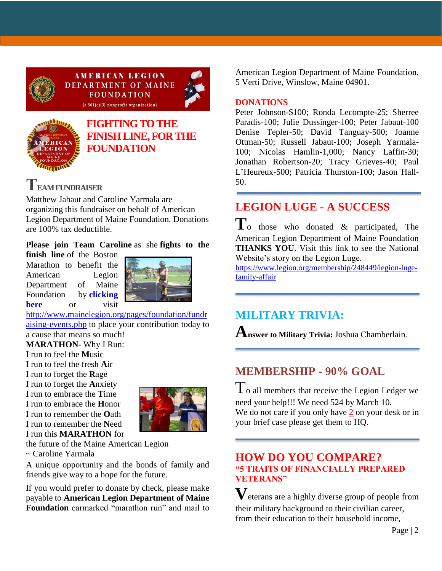

**AMERICAN LEGION DEPARTMENT OF MAINE FOUNDATION**  $(a 501(c)(3)$  nonprofit organization)





### **[FIGHTING TO THE](https://www.gofundme.com/f/5hx779-a-cause-i-care-about-needs-help?utm_source=customer&utm_medium=copy_link&utm_campaign=p_cf+share-flow-1)  [FINISH LINE, FOR THE](https://www.gofundme.com/f/5hx779-a-cause-i-care-about-needs-help?utm_source=customer&utm_medium=copy_link&utm_campaign=p_cf+share-flow-1)  [FOUNDATION](https://www.gofundme.com/f/5hx779-a-cause-i-care-about-needs-help?utm_source=customer&utm_medium=copy_link&utm_campaign=p_cf+share-flow-1)**

# **TEAM FUNDRAISER**

Matthew Jabaut and Caroline Yarmala are organizing this fundraiser on behalf of American Legion Department of Maine Foundation. Donations are 100% tax deductible.

#### **Please join Team Caroline** as she **fights to the**

**finish line** of the Boston Marathon to benefit the American Legion Department of Maine Foundation by **[clicking](https://www.gofundme.com/f/5hx779-a-cause-i-care-about-needs-help?utm_source=customer&utm_medium=copy_link&utm_campaign=p_cf+share-flow-1)  [here](https://www.gofundme.com/f/5hx779-a-cause-i-care-about-needs-help?utm_source=customer&utm_medium=copy_link&utm_campaign=p_cf+share-flow-1)** or visit



[http://www.mainelegion.org/pages/foundation/fundr](http://www.mainelegion.org/pages/foundation/fundraising-events.php) [aising-events.php](http://www.mainelegion.org/pages/foundation/fundraising-events.php) to place your contribution today to

a cause that means so much! **MARATHON**- Why I Run:

I run to feel the **M**usic I run to feel the fresh **A**ir I run to forget the **R**age I run to forget the **A**nxiety I run to embrace the **T**ime I run to embrace the **H**onor I run to remember the **O**ath I run to remember the **N**eed I run this **MARATHON** for



the future of the Maine American Legion

~ Caroline Yarmala

A unique opportunity and the bonds of family and friends give way to a hope for the future.

If you would prefer to donate by check, please make payable to **American Legion Department of Maine Foundation** earmarked "marathon run" and mail to

American Legion Department of Maine Foundation, 5 Verti Drive, Winslow, Maine 04901.

#### **DONATIONS**

Peter Johnson-\$100; Ronda Lecompte-25; Sherree Paradis-100; Julie Dussinger-100; Peter Jabaut-100 Denise Tepler-50; David Tanguay-500; Joanne Ottman-50; Russell Jabaut-100; Joseph Yarmala-100; Nicolas Hamlin-1,000; Nancy Laffin-30; Jonathan Robertson-20; Tracy Grieves-40; Paul L'Heureux-500; Patricia Thurston-100; Jason Hall-50.

# **LEGION LUGE - A SUCCESS**

**T**o those who donated & participated, The American Legion Department of Maine Foundation **THANKS YOU**. Visit this link to see the National Website's story on the Legion Luge.

[https://www.legion.org/membership/248449/legion-luge](https://www.legion.org/membership/248449/legion-luge-family-affair)[family-affair](https://www.legion.org/membership/248449/legion-luge-family-affair)

# **MILITARY TRIVIA:**

**Answer to Military Trivia:** Joshua Chamberlain.

## **MEMBERSHIP - 90% GOAL**

 $T_0$  all members that receive the Legion Ledger we need your help!!! We need 524 by March 10. We do not care if you only have 2 on your desk or in your brief case please get them to HQ.

#### **HOW DO YOU COMPARE? "5 TRAITS OF FINANCIALLY PREPARED VETERANS"**

**V**eterans are a highly diverse group of people from their military background to their civilian career, from their education to their household income,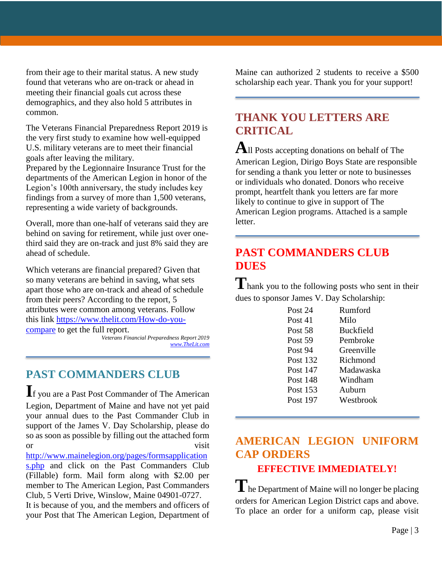from their age to their marital status. A new study found that veterans who are on-track or ahead in meeting their financial goals cut across these demographics, and they also hold 5 attributes in common.

The Veterans Financial Preparedness Report 2019 is the very first study to examine how well-equipped U.S. military veterans are to meet their financial goals after leaving the military.

Prepared by the Legionnaire Insurance Trust for the departments of the American Legion in honor of the Legion's 100th anniversary, the study includes key findings from a survey of more than 1,500 veterans, representing a wide variety of backgrounds.

Overall, more than one-half of veterans said they are behind on saving for retirement, while just over onethird said they are on-track and just 8% said they are ahead of schedule.

Which veterans are financial prepared? Given that so many veterans are behind in saving, what sets apart those who are on-track and ahead of schedule from their peers? According to the report, 5 attributes were common among veterans. Follow this link [https://www.thelit.com/How-do-you](https://www.thelit.com/How-do-you-compare)[compare](https://www.thelit.com/How-do-you-compare) to get the full report.

*Veterans Financial Preparedness Report 2019 [www.TheLit.com](http://www.thelit.com/)*

#### **PAST COMMANDERS CLUB**

**I**f you are a Past Post Commander of The American Legion, Department of Maine and have not yet paid your annual dues to the Past Commander Club in support of the James V. Day Scholarship, please do so as soon as possible by filling out the attached form or visit

[http://www.mainelegion.org/pages/formsapplication](http://www.mainelegion.org/pages/formsapplications.php) [s.php](http://www.mainelegion.org/pages/formsapplications.php) and click on the Past Commanders Club (Fillable) form. Mail form along with \$2.00 per member to The American Legion, Past Commanders Club, 5 Verti Drive, Winslow, Maine 04901-0727.

It is because of you, and the members and officers of your Post that The American Legion, Department of

Maine can authorized 2 students to receive a \$500 scholarship each year. Thank you for your support!

#### **THANK YOU LETTERS ARE CRITICAL**

**A**ll Posts accepting donations on behalf of The American Legion, Dirigo Boys State are responsible for sending a thank you letter or note to businesses or individuals who donated. Donors who receive prompt, heartfelt thank you letters are far more likely to continue to give in support of The American Legion programs. Attached is a sample letter.

### **PAST COMMANDERS CLUB DUES**

**T**hank you to the following posts who sent in their dues to sponsor James V. Day Scholarship:

| Post 24         | Rumford          |
|-----------------|------------------|
| Post 41         | Milo             |
| Post 58         | <b>Buckfield</b> |
| Post 59         | Pembroke         |
| Post 94         | Greenville       |
| Post 132        | Richmond         |
| Post 147        | Madawaska        |
| <b>Post 148</b> | Windham          |
| Post 153        | Auburn           |
| Post 197        | Westbrook        |
|                 |                  |

### **AMERICAN LEGION UNIFORM CAP ORDERS**

#### **EFFECTIVE IMMEDIATELY!**

**T**he Department of Maine will no longer be placing orders for American Legion District caps and above. To place an order for a uniform cap, please visit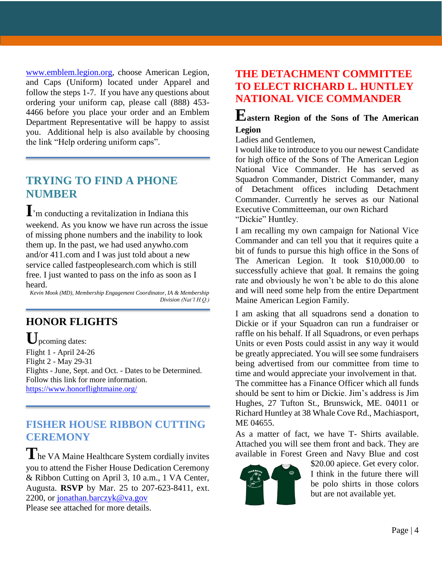[www.emblem.legion.org,](http://www.emblem.legion.org/) choose American Legion, and Caps (Uniform) located under Apparel and follow the steps 1-7. If you have any questions about ordering your uniform cap, please call (888) 453- 4466 before you place your order and an Emblem Department Representative will be happy to assist you. Additional help is also available by choosing the link "Help ordering uniform caps".

#### **TRYING TO FIND A PHONE NUMBER**

**I**'m conducting a revitalization in Indiana this weekend. As you know we have run across the issue of missing phone numbers and the inability to look them up. In the past, we had used anywho.com and/or 411.com and I was just told about a new service called fastpeoplesearch.com which is still free. I just wanted to pass on the info as soon as I heard.

*Kevin Mook (MD), Membership Engagement Coordinator, IA & Membership Division (Nat'l H.Q.)*

### **HONOR FLIGHTS**

**U**pcoming dates: Flight 1 - April 24-26 Flight 2 - May 29-31 Flights - June, Sept. and Oct. - Dates to be Determined. Follow this link for more information. <https://www.honorflightmaine.org/>

#### **FISHER HOUSE RIBBON CUTTING CEREMONY**

The VA Maine Healthcare System cordially invites you to attend the Fisher House Dedication Ceremony & Ribbon Cutting on April 3, 10 a.m., 1 VA Center, Augusta. **RSVP** by Mar. 25 to 207-623-8411, ext. 2200, or [jonathan.barczyk@va.gov](mailto:jonathan.barczyk@va.gov) Please see attached for more details.

#### **THE DETACHMENT COMMITTEE TO ELECT RICHARD L. HUNTLEY NATIONAL VICE COMMANDER**

#### **Eastern Region of the Sons of The American Legion**

Ladies and Gentlemen,

I would like to introduce to you our newest Candidate for high office of the Sons of The American Legion National Vice Commander. He has served as Squadron Commander, District Commander, many of Detachment offices including Detachment Commander. Currently he serves as our National Executive Committeeman, our own Richard "Dickie" Huntley.

I am recalling my own campaign for National Vice Commander and can tell you that it requires quite a bit of funds to pursue this high office in the Sons of The American Legion. It took \$10,000.00 to successfully achieve that goal. It remains the going rate and obviously he won't be able to do this alone and will need some help from the entire Department Maine American Legion Family.

I am asking that all squadrons send a donation to Dickie or if your Squadron can run a fundraiser or raffle on his behalf. If all Squadrons, or even perhaps Units or even Posts could assist in any way it would be greatly appreciated. You will see some fundraisers being advertised from our committee from time to time and would appreciate your involvement in that. The committee has a Finance Officer which all funds should be sent to him or Dickie. Jim's address is Jim Hughes, 27 Tufton St., Brunswick, ME. 04011 or

Richard Huntley at 38 Whale Cove Rd., Machiasport, ME 04655.

As a matter of fact, we have T- Shirts available. Attached you will see them front and back. They are available in Forest Green and Navy Blue and cost



\$20.00 apiece. Get every color. I think in the future there will be polo shirts in those colors but are not available yet.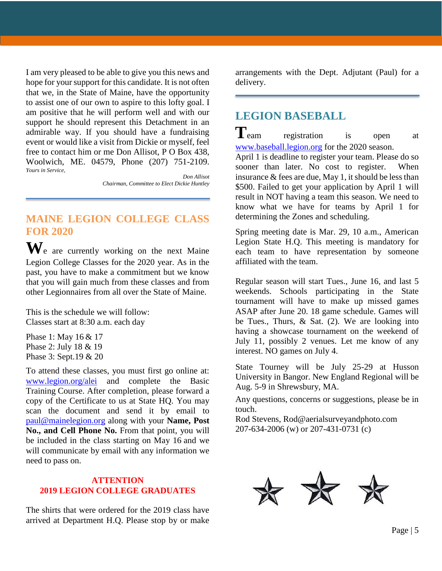I am very pleased to be able to give you this news and hope for your support for this candidate. It is not often that we, in the State of Maine, have the opportunity to assist one of our own to aspire to this lofty goal. I am positive that he will perform well and with our support he should represent this Detachment in an admirable way. If you should have a fundraising event or would like a visit from Dickie or myself, feel free to contact him or me Don Allisot, P O Box 438, Woolwich, ME. 04579, Phone (207) 751-2109. *Yours in Service,*

*Don Allisot Chairman, Committee to Elect Dickie Huntley*

#### **MAINE LEGION COLLEGE CLASS FOR 2020**

**W**e are currently working on the next Maine Legion College Classes for the 2020 year. As in the past, you have to make a commitment but we know that you will gain much from these classes and from other Legionnaires from all over the State of Maine.

This is the schedule we will follow: Classes start at 8:30 a.m. each day

Phase 1: May 16 & 17 Phase 2: July 18 & 19 Phase 3: Sept.19 & 20

To attend these classes, you must first go online at: [www.legion.org/alei](http://www.legion.org/alei) and complete the Basic Training Course. After completion, please forward a copy of the Certificate to us at State HQ. You may scan the document and send it by email to [paul@mainelegion.org](mailto:paul@mainelegion.org) along with your **Name, Post** No., and Cell Phone No. From that point, you will be included in the class starting on May 16 and we will communicate by email with any information we need to pass on.

#### **ATTENTION 2019 LEGION COLLEGE GRADUATES**

The shirts that were ordered for the 2019 class have arrived at Department H.Q. Please stop by or make

arrangements with the Dept. Adjutant (Paul) for a delivery.

## **LEGION BASEBALL**

**T**eam registration is open at [www.baseball.legion.org](http://www.baseball.legion.org/) for the 2020 season.

April 1 is deadline to register your team. Please do so sooner than later. No cost to register. When insurance & fees are due, May 1, it should be less than \$500. Failed to get your application by April 1 will result in NOT having a team this season. We need to know what we have for teams by April 1 for determining the Zones and scheduling.

Spring meeting date is Mar. 29, 10 a.m., American Legion State H.Q. This meeting is mandatory for each team to have representation by someone affiliated with the team.

Regular season will start Tues., June 16, and last 5 weekends. Schools participating in the State tournament will have to make up missed games ASAP after June 20. 18 game schedule. Games will be Tues., Thurs, & Sat. (2). We are looking into having a showcase tournament on the weekend of July 11, possibly 2 venues. Let me know of any interest. NO games on July 4.

State Tourney will be July 25-29 at Husson University in Bangor. New England Regional will be Aug. 5-9 in Shrewsbury, MA.

Any questions, concerns or suggestions, please be in touch.

Rod Stevens, Rod@aerialsurveyandphoto.com 207-634-2006 (w) or 207-431-0731 (c)

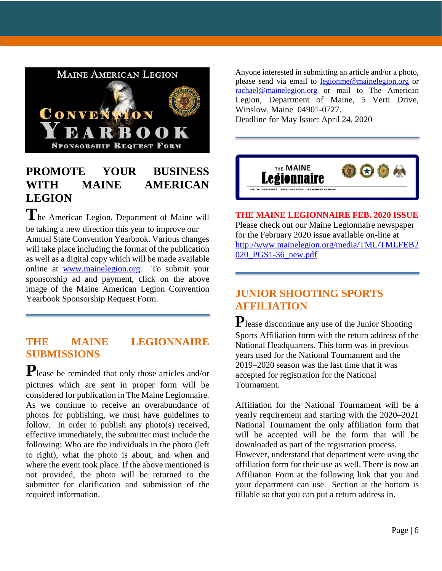

### **PROMOTE YOUR BUSINESS WITH MAINE AMERICAN LEGION**

**T**he American Legion, Department of Maine will be taking a new direction this year to improve our Annual State Convention Yearbook. Various changes will take place including the format of the publication as well as a digital copy which will be made available online at [www.mainelegion.org.](http://www.mainelegion.org/) To submit your sponsorship ad and payment, click on the above image of the Maine American Legion Convention Yearbook Sponsorship Request Form.

#### **THE MAINE LEGIONNAIRE SUBMISSIONS**

**P**lease be reminded that only those articles and/or pictures which are sent in proper form will be considered for publication in The Maine Legionnaire. As we continue to receive an overabundance of photos for publishing, we must have guidelines to follow. In order to publish any photo(s) received, effective immediately, the submitter must include the following: Who are the individuals in the photo (left to right), what the photo is about, and when and where the event took place. If the above mentioned is not provided, the photo will be returned to the submitter for clarification and submission of the required information.

Anyone interested in submitting an article and/or a photo, please send via email to [legionme@mainelegion.org](mailto:legionme@mainelegion.org) or [rachael@mainelegion.org](mailto:rachael@mainelegion.org) or mail to The American Legion, Department of Maine, 5 Verti Drive, Winslow, Maine 04901-0727.

Deadline for May Issue: April 24, 2020



**THE MAINE LEGIONNAIRE FEB. 2020 ISSUE** Please check out our Maine Legionnaire newspaper for the February 2020 issue available on-line at [http://www.mainelegion.org/media/TML/TMLFEB2](http://www.mainelegion.org/media/TML/TMLFEB2020_PGS1-36_new.pdf) [020\\_PGS1-36\\_new.pdf](http://www.mainelegion.org/media/TML/TMLFEB2020_PGS1-36_new.pdf)

#### **JUNIOR SHOOTING SPORTS AFFILIATION**

**P**lease discontinue any use of the Junior Shooting Sports Affiliation form with the return address of the National Headquarters. This form was in previous years used for the National Tournament and the 2019–2020 season was the last time that it was accepted for registration for the National Tournament.

Affiliation for the National Tournament will be a yearly requirement and starting with the 2020–2021 National Tournament the only affiliation form that will be accepted will be the form that will be downloaded as part of the registration process.

However, understand that department were using the affiliation form for their use as well. There is now an Affiliation Form at the following link that you and your department can use. Section at the bottom is fillable so that you can put a return address in.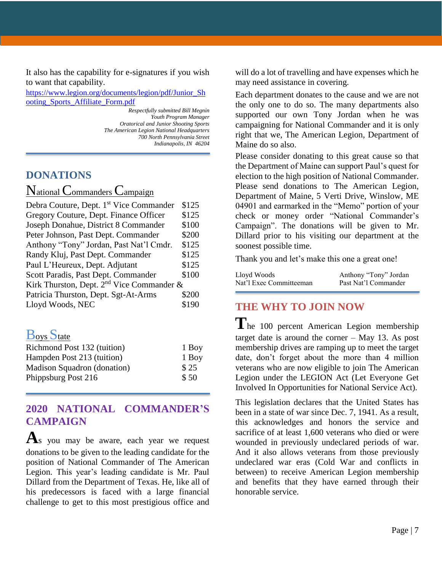It also has the capability for e-signatures if you wish to want that capability.

[https://www.legion.org/documents/legion/pdf/Junior\\_Sh](https://www.legion.org/documents/legion/pdf/Junior_Shooting_Sports_Affiliate_Form.pdf) [ooting\\_Sports\\_Affiliate\\_Form.pdf](https://www.legion.org/documents/legion/pdf/Junior_Shooting_Sports_Affiliate_Form.pdf)

> *Respectfully submitted Bill Megnin Youth Program Manager Oratorical and Junior Shooting Sports The American Legion National Headquarters 700 North Pennsylvania Street Indianapolis, IN 46204*

#### **DONATIONS**

National Commanders Campaign

| Debra Couture, Dept. 1 <sup>st</sup> Vice Commander | \$125 |  |
|-----------------------------------------------------|-------|--|
| Gregory Couture, Dept. Finance Officer              | \$125 |  |
| Joseph Donahue, District 8 Commander                | \$100 |  |
| Peter Johnson, Past Dept. Commander                 | \$200 |  |
| Anthony "Tony" Jordan, Past Nat'l Cmdr.             | \$125 |  |
| Randy Kluj, Past Dept. Commander                    | \$125 |  |
| Paul L'Heureux, Dept. Adjutant                      | \$125 |  |
| Scott Paradis, Past Dept. Commander                 | \$100 |  |
| Kirk Thurston, Dept. $2nd$ Vice Commander &         |       |  |
| Patricia Thurston, Dept. Sgt-At-Arms                | \$200 |  |
| Lloyd Woods, NEC                                    | \$190 |  |

#### **Boys** State

| Richmond Post 132 (tuition) | 1 Boy |
|-----------------------------|-------|
| Hampden Post 213 (tuition)  | 1 Boy |
| Madison Squadron (donation) | \$25  |
| Phippsburg Post 216         | \$50  |

#### **2020 NATIONAL COMMANDER'S CAMPAIGN**

A<sub>s</sub> you may be aware, each year we request donations to be given to the leading candidate for the position of National Commander of The American Legion. This year's leading candidate is Mr. Paul Dillard from the Department of Texas. He, like all of his predecessors is faced with a large financial challenge to get to this most prestigious office and

will do a lot of travelling and have expenses which he may need assistance in covering.

Each department donates to the cause and we are not the only one to do so. The many departments also supported our own Tony Jordan when he was campaigning for National Commander and it is only right that we, The American Legion, Department of Maine do so also.

Please consider donating to this great cause so that the Department of Maine can support Paul's quest for election to the high position of National Commander. Please send donations to The American Legion, Department of Maine, 5 Verti Drive, Winslow, ME 04901 and earmarked in the "Memo" portion of your check or money order "National Commander's Campaign". The donations will be given to Mr. Dillard prior to his visiting our department at the soonest possible time.

Thank you and let's make this one a great one!

| Lloyd Woods             | Anthony "Tony" Jordan |
|-------------------------|-----------------------|
| Nat'l Exec Committeeman | Past Nat'l Commander  |

# **THE WHY TO JOIN NOW**

The 100 percent American Legion membership target date is around the corner – May 13. As post membership drives are ramping up to meet the target date, don't forget about the more than 4 million veterans who are now eligible to join The American Legion under the LEGION Act (Let Everyone Get Involved In Opportunities for National Service Act).

This legislation declares that the United States has been in a state of war since Dec. 7, 1941. As a result, this acknowledges and honors the service and sacrifice of at least 1,600 veterans who died or were wounded in previously undeclared periods of war. And it also allows veterans from those previously undeclared war eras (Cold War and conflicts in between) to receive American Legion membership and benefits that they have earned through their honorable service.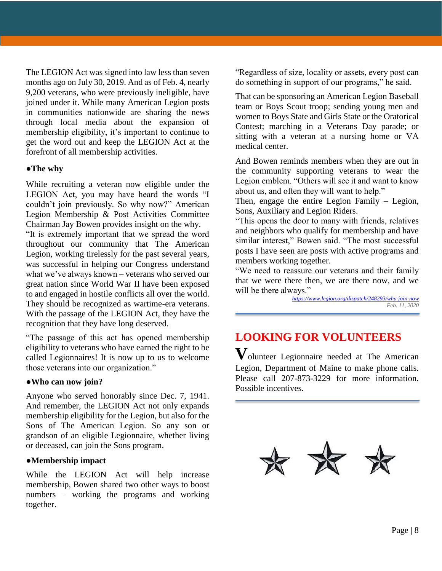The LEGION Act was signed into law less than seven months ago on July 30, 2019. And as of Feb. 4, nearly 9,200 veterans, who were previously ineligible, have joined under it. While many American Legion posts in communities nationwide are sharing the news through local media about the expansion of membership eligibility, it's important to continue to get the word out and keep the LEGION Act at the forefront of all membership activities.

#### **●The why**

While recruiting a veteran now eligible under the LEGION Act, you may have heard the words "I couldn't join previously. So why now?" American Legion Membership & Post Activities Committee Chairman Jay Bowen provides insight on the why.

"It is extremely important that we spread the word throughout our community that The American Legion, working tirelessly for the past several years, was successful in helping our Congress understand what we've always known – veterans who served our great nation since World War II have been exposed to and engaged in hostile conflicts all over the world. They should be recognized as wartime-era veterans. With the passage of the LEGION Act, they have the recognition that they have long deserved.

"The passage of this act has opened membership eligibility to veterans who have earned the right to be called Legionnaires! It is now up to us to welcome those veterans into our organization."

#### **●Who can now join?**

Anyone who served honorably since Dec. 7, 1941. And remember, the LEGION Act not only expands membership eligibility for the Legion, but also for the Sons of The American Legion. So any son or grandson of an eligible Legionnaire, whether living or deceased, can join the Sons program.

#### **●Membership impact**

While the LEGION Act will help increase membership, Bowen shared two other ways to boost numbers – working the programs and working together.

"Regardless of size, locality or assets, every post can do something in support of our programs," he said.

That can be sponsoring an American Legion Baseball team or Boys Scout troop; sending young men and women to Boys State and Girls State or the Oratorical Contest; marching in a Veterans Day parade; or sitting with a veteran at a nursing home or VA medical center.

And Bowen reminds members when they are out in the community supporting veterans to wear the Legion emblem. "Others will see it and want to know about us, and often they will want to help."

Then, engage the entire Legion Family – Legion, Sons, Auxiliary and Legion Riders.

"This opens the door to many with friends, relatives and neighbors who qualify for membership and have similar interest," Bowen said. "The most successful posts I have seen are posts with active programs and members working together.

"We need to reassure our veterans and their family that we were there then, we are there now, and we will be there always."

*<https://www.legion.org/dispatch/248293/why-join-now> Feb. 11, 2020*

# **LOOKING FOR VOLUNTEERS**

**V**olunteer Legionnaire needed at The American Legion, Department of Maine to make phone calls. Please call 207-873-3229 for more information. Possible incentives.